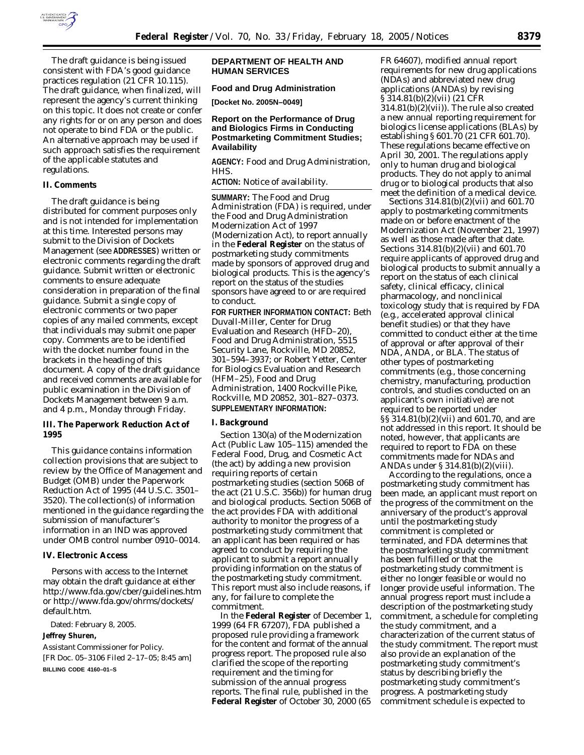

The draft guidance is being issued consistent with FDA's good guidance practices regulation (21 CFR 10.115). The draft guidance, when finalized, will represent the agency's current thinking on this topic. It does not create or confer any rights for or on any person and does not operate to bind FDA or the public. An alternative approach may be used if such approach satisfies the requirement of the applicable statutes and regulations.

#### **II. Comments**

The draft guidance is being distributed for comment purposes only and is not intended for implementation at this time. Interested persons may submit to the Division of Dockets Management (see **ADDRESSES**) written or electronic comments regarding the draft guidance. Submit written or electronic comments to ensure adequate consideration in preparation of the final guidance. Submit a single copy of electronic comments or two paper copies of any mailed comments, except that individuals may submit one paper copy. Comments are to be identified with the docket number found in the brackets in the heading of this document. A copy of the draft guidance and received comments are available for public examination in the Division of Dockets Management between 9 a.m. and 4 p.m., Monday through Friday.

### **III. The Paperwork Reduction Act of 1995**

This guidance contains information collection provisions that are subject to review by the Office of Management and Budget (OMB) under the Paperwork Reduction Act of 1995 (44 U.S.C. 3501– 3520). The collection(s) of information mentioned in the guidance regarding the submission of manufacturer's information in an IND was approved under OMB control number 0910–0014.

### **IV. Electronic Access**

Persons with access to the Internet may obtain the draft guidance at either *http://www.fda.gov/cber/guidelines.htm* or *http://www.fda.gov/ohrms/dockets/ default.htm*.

Dated: February 8, 2005.

#### **Jeffrey Shuren,**

*Assistant Commissioner for Policy.* [FR Doc. 05–3106 Filed 2–17–05; 8:45 am] **BILLING CODE 4160–01–S**

## **DEPARTMENT OF HEALTH AND HUMAN SERVICES**

#### **Food and Drug Administration**

**[Docket No. 2005N–0049]**

## **Report on the Performance of Drug and Biologics Firms in Conducting Postmarketing Commitment Studies; Availability**

**AGENCY:** Food and Drug Administration, HHS.

**ACTION:** Notice of availability.

**SUMMARY:** The Food and Drug Administration (FDA) is required, under the Food and Drug Administration Modernization Act of 1997 (Modernization Act), to report annually in the **Federal Register** on the status of postmarketing study commitments made by sponsors of approved drug and biological products. This is the agency's report on the status of the studies sponsors have agreed to or are required to conduct.

**FOR FURTHER INFORMATION CONTACT:** Beth Duvall-Miller, Center for Drug Evaluation and Research (HFD–20), Food and Drug Administration, 5515 Security Lane, Rockville, MD 20852, 301–594–3937; or Robert Yetter, Center for Biologics Evaluation and Research (HFM–25), Food and Drug Administration, 1400 Rockville Pike, Rockville, MD 20852, 301–827–0373. **SUPPLEMENTARY INFORMATION:**

#### **I. Background**

Section 130(a) of the Modernization Act (Public Law 105–115) amended the Federal Food, Drug, and Cosmetic Act (the act) by adding a new provision requiring reports of certain postmarketing studies (section 506B of the act (21 U.S.C. 356b)) for human drug and biological products. Section 506B of the act provides FDA with additional authority to monitor the progress of a postmarketing study commitment that an applicant has been required or has agreed to conduct by requiring the applicant to submit a report annually providing information on the status of the postmarketing study commitment. This report must also include reasons, if any, for failure to complete the commitment.

In the **Federal Register** of December 1, 1999 (64 FR 67207), FDA published a proposed rule providing a framework for the content and format of the annual progress report. The proposed rule also clarified the scope of the reporting requirement and the timing for submission of the annual progress reports. The final rule, published in the **Federal Register** of October 30, 2000 (65

FR 64607), modified annual report requirements for new drug applications (NDAs) and abbreviated new drug applications (ANDAs) by revising  $\hat{S}314.81(b)(2)(vii)$  (21 CFR 314.81(b)(2)(vii)). The rule also created a new annual reporting requirement for biologics license applications (BLAs) by establishing § 601.70 (21 CFR 601.70). These regulations became effective on April 30, 2001. The regulations apply only to human drug and biological products. They do not apply to animal drug or to biological products that also meet the definition of a medical device.

Sections 314.81(b)(2)(vii) and 601.70 apply to postmarketing commitments made on or before enactment of the Modernization Act (November 21, 1997) as well as those made after that date. Sections 314.81(b)(2)(vii) and 601.70 require applicants of approved drug and biological products to submit annually a report on the status of each clinical safety, clinical efficacy, clinical pharmacology, and nonclinical toxicology study that is required by FDA (e.g., accelerated approval clinical benefit studies) or that they have committed to conduct either at the time of approval or after approval of their NDA, ANDA, or BLA. The status of other types of postmarketing commitments (e.g., those concerning chemistry, manufacturing, production controls, and studies conducted on an applicant's own initiative) are not required to be reported under §§ 314.81(b)(2)(vii) and 601.70, and are not addressed in this report. It should be noted, however, that applicants are required to report to FDA on these commitments made for NDAs and ANDAs under § 314.81(b)(2)(viii).

According to the regulations, once a postmarketing study commitment has been made, an applicant must report on the progress of the commitment on the anniversary of the product's approval until the postmarketing study commitment is completed or terminated, and FDA determines that the postmarketing study commitment has been fulfilled or that the postmarketing study commitment is either no longer feasible or would no longer provide useful information. The annual progress report must include a description of the postmarketing study commitment, a schedule for completing the study commitment, and a characterization of the current status of the study commitment. The report must also provide an explanation of the postmarketing study commitment's status by describing briefly the postmarketing study commitment's progress. A postmarketing study commitment schedule is expected to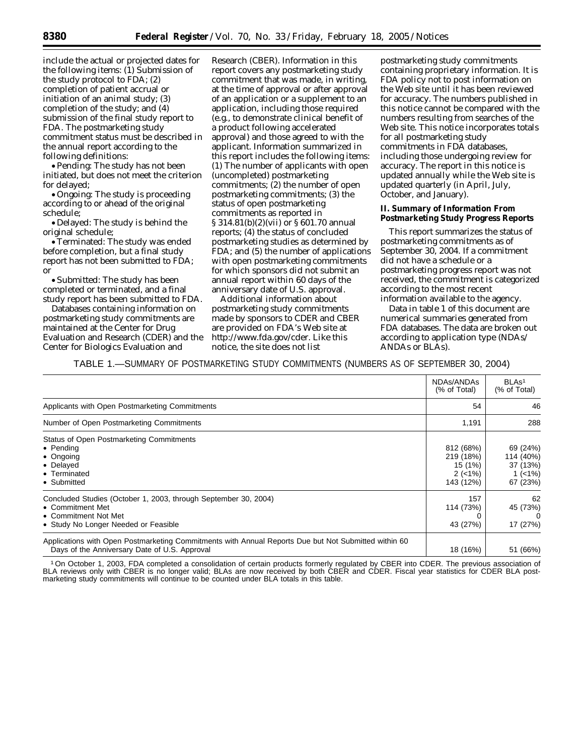include the actual or projected dates for the following items: (1) Submission of the study protocol to FDA; (2) completion of patient accrual or initiation of an animal study; (3) completion of the study; and (4) submission of the final study report to FDA. The postmarketing study commitment status must be described in the annual report according to the following definitions:

• Pending: The study has not been initiated, but does not meet the criterion for delayed;

• Ongoing: The study is proceeding according to or ahead of the original schedule;

• Delayed: The study is behind the original schedule;

•Terminated: The study was ended before completion, but a final study report has not been submitted to FDA; or

• Submitted: The study has been completed or terminated, and a final study report has been submitted to FDA.

Databases containing information on postmarketing study commitments are maintained at the Center for Drug Evaluation and Research (CDER) and the Center for Biologics Evaluation and

Research (CBER). Information in this report covers any postmarketing study commitment that was made, in writing, at the time of approval or after approval of an application or a supplement to an application, including those required (e.g., to demonstrate clinical benefit of a product following accelerated approval) and those agreed to with the applicant. Information summarized in this report includes the following items: (1) The number of applicants with open (uncompleted) postmarketing commitments; (2) the number of open postmarketing commitments; (3) the status of open postmarketing commitments as reported in § 314.81(b)(2)(vii) or § 601.70 annual reports; (4) the status of concluded postmarketing studies as determined by FDA; and (5) the number of applications with open postmarketing commitments for which sponsors did not submit an annual report within 60 days of the anniversary date of U.S. approval.

Additional information about postmarketing study commitments made by sponsors to CDER and CBER are provided on FDA's Web site at *http://www.fda.gov/cder*. Like this notice, the site does not list

postmarketing study commitments containing proprietary information. It is FDA policy not to post information on the Web site until it has been reviewed for accuracy. The numbers published in this notice cannot be compared with the numbers resulting from searches of the Web site. This notice incorporates totals for all postmarketing study commitments in FDA databases, including those undergoing review for accuracy. The report in this notice is updated annually while the Web site is updated quarterly (in April, July, October, and January).

## **II. Summary of Information From Postmarketing Study Progress Reports**

This report summarizes the status of postmarketing commitments as of September 30, 2004. If a commitment did not have a schedule or a postmarketing progress report was not received, the commitment is categorized according to the most recent information available to the agency.

Data in table 1 of this document are numerical summaries generated from FDA databases. The data are broken out according to application type (NDAs/ ANDAs or BLAs).

TABLE 1.—SUMMARY OF POSTMARKETING STUDY COMMITMENTS (NUMBERS AS OF SEPTEMBER 30, 2004)

|                                                                                                                                                       | NDAs/ANDAS<br>(% of Total)                                 | BLA <sub>s<sup>1</sup></sub><br>(% of Total)                 |
|-------------------------------------------------------------------------------------------------------------------------------------------------------|------------------------------------------------------------|--------------------------------------------------------------|
| Applicants with Open Postmarketing Commitments                                                                                                        | 54                                                         | 46                                                           |
| Number of Open Postmarketing Commitments                                                                                                              | 1,191                                                      | 288                                                          |
| Status of Open Postmarketing Commitments<br>$\bullet$ Pending<br>$\bullet$ Ongoing<br>• Delayed<br>• Terminated<br>• Submitted                        | 812 (68%)<br>219 (18%)<br>15 (1%)<br>$2(-1%)$<br>143 (12%) | 69 (24%)<br>114 (40%)<br>37 (13%)<br>1 $(< 1\%)$<br>67 (23%) |
| Concluded Studies (October 1, 2003, through September 30, 2004)<br>• Commitment Met<br>• Commitment Not Met<br>• Study No Longer Needed or Feasible   | 157<br>114 (73%)<br>43 (27%)                               | 62<br>45 (73%)<br>17 (27%)                                   |
| Applications with Open Postmarketing Commitments with Annual Reports Due but Not Submitted within 60<br>Days of the Anniversary Date of U.S. Approval | 18 (16%)                                                   | 51 (66%)                                                     |

1On October 1, 2003, FDA completed a consolidation of certain products formerly regulated by CBER into CDER. The previous association of BLA reviews only with CBER is no longer valid; BLAs are now received by both CBER and CDER. Fiscal year statistics for CDER BLA postmarketing study commitments will continue to be counted under BLA totals in this table.